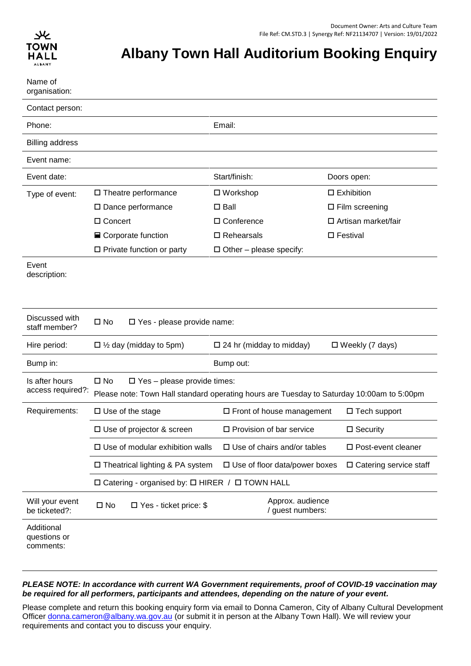

# **Albany Town Hall Auditorium Booking Enquiry**

| Name of<br>organisation:                |                                                                                                                                                    |                                       |                               |
|-----------------------------------------|----------------------------------------------------------------------------------------------------------------------------------------------------|---------------------------------------|-------------------------------|
| Contact person:                         |                                                                                                                                                    |                                       |                               |
| Phone:                                  |                                                                                                                                                    | Email:                                |                               |
| <b>Billing address</b>                  |                                                                                                                                                    |                                       |                               |
| Event name:                             |                                                                                                                                                    |                                       |                               |
| Event date:                             |                                                                                                                                                    | Start/finish:                         | Doors open:                   |
| Type of event:                          | $\square$ Theatre performance                                                                                                                      | $\Box$ Workshop                       | $\square$ Exhibition          |
|                                         | $\square$ Dance performance                                                                                                                        | $\square$ Ball                        | $\square$ Film screening      |
|                                         | □ Concert                                                                                                                                          | $\Box$ Conference                     | □ Artisan market/fair         |
|                                         | $\blacksquare$ Corporate function                                                                                                                  | $\square$ Rehearsals                  | □ Festival                    |
|                                         | $\Box$ Private function or party                                                                                                                   | $\Box$ Other – please specify:        |                               |
| Event<br>description:                   |                                                                                                                                                    |                                       |                               |
| Discussed with<br>staff member?         | $\square$ No<br>□ Yes - please provide name:                                                                                                       |                                       |                               |
| Hire period:                            | $\Box$ 1/ <sub>2</sub> day (midday to 5pm)                                                                                                         | $\Box$ 24 hr (midday to midday)       | $\Box$ Weekly (7 days)        |
| Bump in:                                | Bump out:                                                                                                                                          |                                       |                               |
| Is after hours<br>access required?:     | $\square$ No<br>$\square$ Yes - please provide times:<br>Please note: Town Hall standard operating hours are Tuesday to Saturday 10:00am to 5:00pm |                                       |                               |
| Requirements:                           | $\Box$ Use of the stage                                                                                                                            | $\Box$ Front of house management      | $\Box$ Tech support           |
|                                         | $\Box$ Use of projector & screen                                                                                                                   | $\Box$ Provision of bar service       | $\square$ Security            |
|                                         | $\square$ Use of modular exhibition walls                                                                                                          | $\square$ Use of chairs and/or tables | $\square$ Post-event cleaner  |
|                                         | $\Box$ Theatrical lighting & PA system                                                                                                             | $\Box$ Use of floor data/power boxes  | $\Box$ Catering service staff |
|                                         | □ Catering - organised by: □ HIRER / □ TOWN HALL                                                                                                   |                                       |                               |
| Will your event<br>be ticketed?:        | $\square$ No<br>$\Box$ Yes - ticket price: \$                                                                                                      | Approx. audience<br>/ guest numbers:  |                               |
| Additional<br>questions or<br>comments: |                                                                                                                                                    |                                       |                               |

#### *PLEASE NOTE: In accordance with current WA Government requirements, proof of COVID-19 vaccination may be required for all performers, participants and attendees, depending on the nature of your event.*

Please complete and return this booking enquiry form via email to Donna Cameron, City of Albany Cultural Development Officer [donna.cameron@albany.wa.gov.au](mailto:donna.cameron@albany.wa.gov.au) (or submit it in person at the Albany Town Hall). We will review your requirements and contact you to discuss your enquiry.